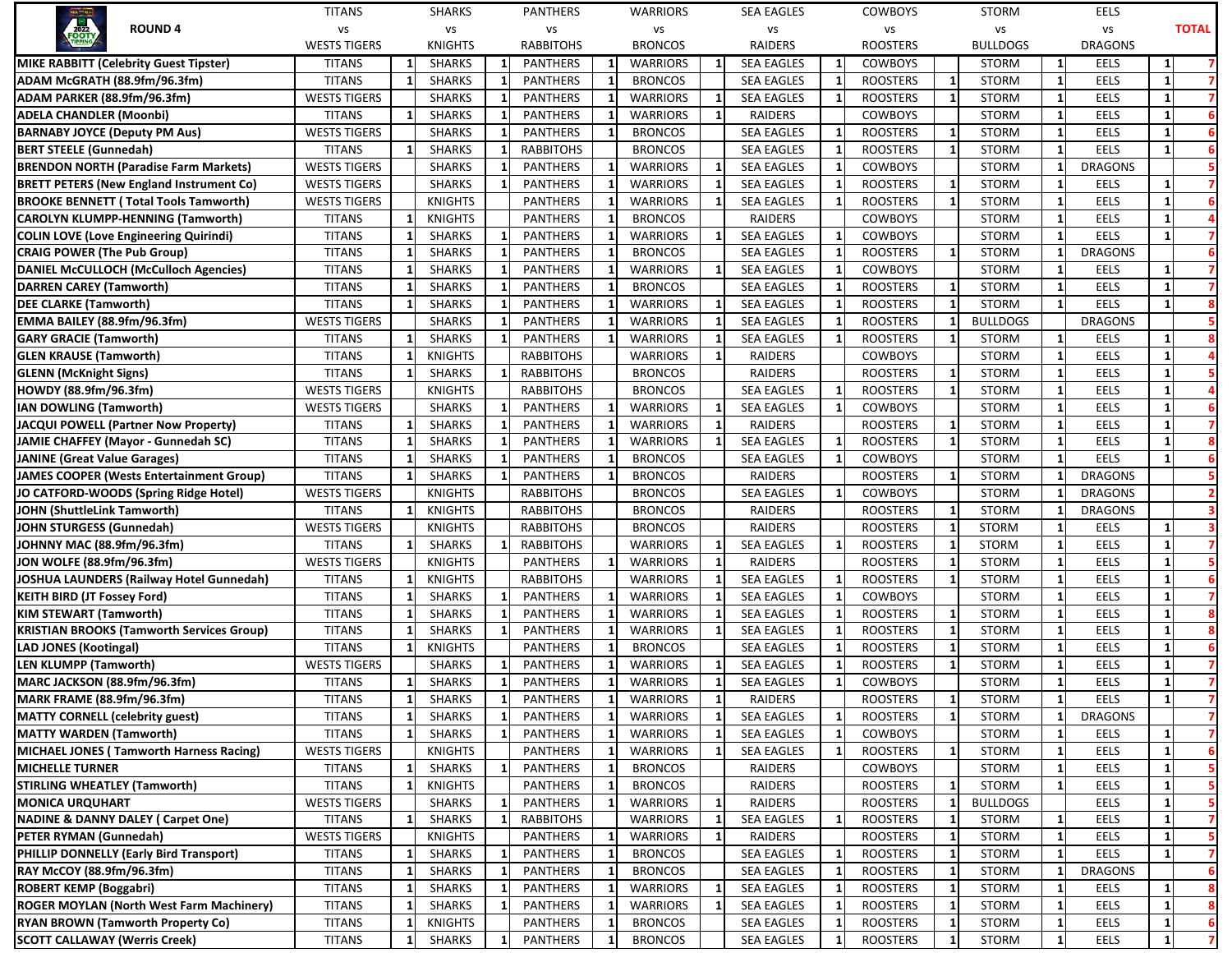|                                                  | <b>TITANS</b>       |              | <b>SHARKS</b>  |              | PANTHERS         |    | <b>WARRIORS</b> |              | <b>SEA EAGLES</b> |   | <b>COWBOYS</b>  |              | <b>STORM</b>    |    | EELS           |    |              |
|--------------------------------------------------|---------------------|--------------|----------------|--------------|------------------|----|-----------------|--------------|-------------------|---|-----------------|--------------|-----------------|----|----------------|----|--------------|
| <b>ROUND 4</b>                                   | vs                  |              | vs             |              | vs               |    | vs              |              | VS                |   | VS              |              | vs              |    | vs             |    | <b>TOTAL</b> |
|                                                  | <b>WESTS TIGERS</b> |              | <b>KNIGHTS</b> |              | <b>RABBITOHS</b> |    | <b>BRONCOS</b>  |              | RAIDERS           |   | <b>ROOSTERS</b> |              | <b>BULLDOGS</b> |    | <b>DRAGONS</b> |    |              |
| MIKE RABBITT (Celebrity Guest Tipster)           | <b>TITANS</b>       | 1            | <b>SHARKS</b>  | 1            | <b>PANTHERS</b>  |    | <b>WARRIORS</b> |              | <b>SEA EAGLES</b> |   | <b>COWBOYS</b>  |              | <b>STORM</b>    | -1 | EELS           |    |              |
| ADAM McGRATH (88.9fm/96.3fm)                     | <b>TITANS</b>       | $\mathbf{1}$ | <b>SHARKS</b>  | 1            | <b>PANTHERS</b>  | -1 | <b>BRONCOS</b>  |              | <b>SEA EAGLES</b> |   | <b>ROOSTERS</b> | $\mathbf{1}$ | <b>STORM</b>    | 1  | EELS           |    |              |
| ADAM PARKER (88.9fm/96.3fm)                      | <b>WESTS TIGERS</b> |              | <b>SHARKS</b>  | 1            | <b>PANTHERS</b>  |    | <b>WARRIORS</b> | -1           | <b>SEA EAGLES</b> |   | <b>ROOSTERS</b> | $\mathbf{1}$ | <b>STORM</b>    |    | EELS           | -1 |              |
| ADELA CHANDLER (Moonbi)                          | <b>TITANS</b>       | $\mathbf{1}$ | <b>SHARKS</b>  | 1            | <b>PANTHERS</b>  |    | <b>WARRIORS</b> | $\mathbf{1}$ | RAIDERS           |   | <b>COWBOYS</b>  |              | <b>STORM</b>    |    | EELS           | 1  |              |
| <b>BARNABY JOYCE (Deputy PM Aus)</b>             | <b>WESTS TIGERS</b> |              | <b>SHARKS</b>  | $\mathbf{1}$ | <b>PANTHERS</b>  |    | <b>BRONCOS</b>  |              | <b>SEA EAGLES</b> |   | <b>ROOSTERS</b> | 1            | <b>STORM</b>    |    | EELS           |    |              |
| <b>BERT STEELE (Gunnedah)</b>                    | <b>TITANS</b>       |              | <b>SHARKS</b>  | -1           | <b>RABBITOHS</b> |    | <b>BRONCOS</b>  |              | <b>SEA EAGLES</b> |   | <b>ROOSTERS</b> | $\mathbf{1}$ | <b>STORM</b>    |    | EELS           | 1  |              |
| <b>BRENDON NORTH (Paradise Farm Markets)</b>     | <b>WESTS TIGERS</b> |              | <b>SHARKS</b>  | -1           | <b>PANTHERS</b>  |    | <b>WARRIORS</b> |              | <b>SEA EAGLES</b> |   | <b>COWBOYS</b>  |              | <b>STORM</b>    |    | <b>DRAGONS</b> |    |              |
| <b>BRETT PETERS (New England Instrument Co)</b>  | <b>WESTS TIGERS</b> |              | <b>SHARKS</b>  | 1            | <b>PANTHERS</b>  |    | <b>WARRIORS</b> |              | <b>SEA EAGLES</b> |   | <b>ROOSTERS</b> | 1            | <b>STORM</b>    |    | EELS           |    |              |
| <b>BROOKE BENNETT (Total Tools Tamworth)</b>     | <b>WESTS TIGERS</b> |              | <b>KNIGHTS</b> |              | <b>PANTHERS</b>  |    | <b>WARRIORS</b> |              | <b>SEA EAGLES</b> |   | <b>ROOSTERS</b> | $\mathbf{1}$ | <b>STORM</b>    |    | EELS           |    |              |
| <b>CAROLYN KLUMPP-HENNING (Tamworth)</b>         | <b>TITANS</b>       |              | <b>KNIGHTS</b> |              | <b>PANTHERS</b>  |    | <b>BRONCOS</b>  |              | RAIDERS           |   | <b>COWBOYS</b>  |              | <b>STORM</b>    |    | EELS           |    |              |
| <b>COLIN LOVE (Love Engineering Quirindi)</b>    | <b>TITANS</b>       |              | <b>SHARKS</b>  | 1            | <b>PANTHERS</b>  |    | <b>WARRIORS</b> |              | <b>SEA EAGLES</b> |   | <b>COWBOYS</b>  |              | <b>STORM</b>    |    | <b>EELS</b>    |    |              |
| <b>CRAIG POWER (The Pub Group)</b>               | <b>TITANS</b>       |              | <b>SHARKS</b>  |              | <b>PANTHERS</b>  |    | <b>BRONCOS</b>  |              | <b>SEA EAGLES</b> |   | <b>ROOSTERS</b> | $\mathbf{1}$ | <b>STORM</b>    |    | <b>DRAGONS</b> |    |              |
| DANIEL McCULLOCH (McCulloch Agencies)            | <b>TITANS</b>       |              | <b>SHARKS</b>  |              | <b>PANTHERS</b>  |    | <b>WARRIORS</b> |              | <b>SEA EAGLES</b> |   | <b>COWBOYS</b>  |              | <b>STORM</b>    |    | EELS           |    |              |
| <b>DARREN CAREY (Tamworth)</b>                   | <b>TITANS</b>       | -1           | <b>SHARKS</b>  | $\mathbf{1}$ | <b>PANTHERS</b>  |    | <b>BRONCOS</b>  |              | <b>SEA EAGLES</b> |   | <b>ROOSTERS</b> | $\mathbf{1}$ | <b>STORM</b>    |    | EELS           |    |              |
| <b>DEE CLARKE (Tamworth)</b>                     | <b>TITANS</b>       | 1            | <b>SHARKS</b>  | 1            | <b>PANTHERS</b>  |    | <b>WARRIORS</b> |              | <b>SEA EAGLES</b> |   | <b>ROOSTERS</b> | $\mathbf{1}$ | <b>STORM</b>    |    | <b>EELS</b>    |    |              |
| EMMA BAILEY (88.9fm/96.3fm)                      | <b>WESTS TIGERS</b> |              | <b>SHARKS</b>  | 1            | <b>PANTHERS</b>  |    | <b>WARRIORS</b> |              | <b>SEA EAGLES</b> |   | <b>ROOSTERS</b> | -1           | <b>BULLDOGS</b> |    | <b>DRAGONS</b> |    |              |
| <b>GARY GRACIE (Tamworth)</b>                    | <b>TITANS</b>       | $\mathbf{1}$ | <b>SHARKS</b>  | $\mathbf{1}$ | <b>PANTHERS</b>  |    | <b>WARRIORS</b> |              | <b>SEA EAGLES</b> |   | <b>ROOSTERS</b> | 1            | <b>STORM</b>    |    | EELS           |    |              |
| <b>GLEN KRAUSE (Tamworth)</b>                    | <b>TITANS</b>       |              | <b>KNIGHTS</b> |              | <b>RABBITOHS</b> |    | <b>WARRIORS</b> |              | RAIDERS           |   | <b>COWBOYS</b>  |              | STORM           |    | EELS           |    |              |
| <b>GLENN (McKnight Signs)</b>                    | <b>TITANS</b>       | -1           | <b>SHARKS</b>  | -1           | <b>RABBITOHS</b> |    | <b>BRONCOS</b>  |              | RAIDERS           |   | <b>ROOSTERS</b> | $\mathbf{1}$ | <b>STORM</b>    |    | EELS           |    |              |
| HOWDY (88.9fm/96.3fm)                            | <b>WESTS TIGERS</b> |              | <b>KNIGHTS</b> |              | <b>RABBITOHS</b> |    | <b>BRONCOS</b>  |              | <b>SEA EAGLES</b> |   | <b>ROOSTERS</b> | $\mathbf{1}$ | <b>STORM</b>    |    | EELS           |    |              |
| IAN DOWLING (Tamworth)                           | <b>WESTS TIGERS</b> |              | <b>SHARKS</b>  | -1           | <b>PANTHERS</b>  |    | <b>WARRIORS</b> |              | <b>SEA EAGLES</b> |   | <b>COWBOYS</b>  |              | <b>STORM</b>    |    | EELS           |    |              |
| JACQUI POWELL (Partner Now Property)             | <b>TITANS</b>       | $\mathbf{1}$ | <b>SHARKS</b>  | 1            | <b>PANTHERS</b>  |    | <b>WARRIORS</b> |              | RAIDERS           |   | <b>ROOSTERS</b> | 1            | <b>STORM</b>    |    | EELS           |    |              |
| JAMIE CHAFFEY (Mayor - Gunnedah SC)              | <b>TITANS</b>       | $\mathbf{1}$ | <b>SHARKS</b>  | $\mathbf{1}$ | <b>PANTHERS</b>  |    | <b>WARRIORS</b> |              | <b>SEA EAGLES</b> |   | <b>ROOSTERS</b> | $\mathbf{1}$ | <b>STORM</b>    |    | EELS           |    |              |
| <b>JANINE (Great Value Garages)</b>              | <b>TITANS</b>       |              | <b>SHARKS</b>  |              | <b>PANTHERS</b>  |    | <b>BRONCOS</b>  |              | <b>SEA EAGLES</b> |   | <b>COWBOYS</b>  |              | <b>STORM</b>    |    | EELS           |    |              |
| JAMES COOPER (Wests Entertainment Group)         | <b>TITANS</b>       |              | <b>SHARKS</b>  | -1           | <b>PANTHERS</b>  |    | <b>BRONCOS</b>  |              | RAIDERS           |   | <b>ROOSTERS</b> | $\mathbf{1}$ | <b>STORM</b>    |    | <b>DRAGONS</b> |    |              |
| JO CATFORD-WOODS (Spring Ridge Hotel)            | <b>WESTS TIGERS</b> |              | <b>KNIGHTS</b> |              | <b>RABBITOHS</b> |    | <b>BRONCOS</b>  |              | <b>SEA EAGLES</b> |   | <b>COWBOYS</b>  |              | <b>STORM</b>    |    | <b>DRAGONS</b> |    |              |
| JOHN (ShuttleLink Tamworth)                      | <b>TITANS</b>       |              | <b>KNIGHTS</b> |              | <b>RABBITOHS</b> |    | <b>BRONCOS</b>  |              | RAIDERS           |   | <b>ROOSTERS</b> | $\mathbf{1}$ | <b>STORM</b>    |    | <b>DRAGONS</b> |    |              |
| JOHN STURGESS (Gunnedah)                         | <b>WESTS TIGERS</b> |              | <b>KNIGHTS</b> |              | <b>RABBITOHS</b> |    | <b>BRONCOS</b>  |              | RAIDERS           |   | <b>ROOSTERS</b> | $\mathbf{1}$ | <b>STORM</b>    |    | EELS           | -1 |              |
| JOHNNY MAC (88.9fm/96.3fm)                       | <b>TITANS</b>       | $\mathbf{1}$ | <b>SHARKS</b>  | $\mathbf{1}$ | <b>RABBITOHS</b> |    | <b>WARRIORS</b> | -1           | <b>SEA EAGLES</b> |   | <b>ROOSTERS</b> | $\mathbf{1}$ | <b>STORM</b>    |    | EELS           | 1  |              |
| JON WOLFE (88.9fm/96.3fm)                        | <b>WESTS TIGERS</b> |              | <b>KNIGHTS</b> |              | <b>PANTHERS</b>  |    | <b>WARRIORS</b> |              | RAIDERS           |   | <b>ROOSTERS</b> | 1            | <b>STORM</b>    |    | EELS           |    |              |
| JOSHUA LAUNDERS (Railway Hotel Gunnedah)         | <b>TITANS</b>       | 1            | <b>KNIGHTS</b> |              | <b>RABBITOHS</b> |    | <b>WARRIORS</b> |              | <b>SEA EAGLES</b> |   | <b>ROOSTERS</b> | $\mathbf{1}$ | <b>STORM</b>    |    | EELS           | -1 |              |
| <b>KEITH BIRD (JT Fossey Ford)</b>               | <b>TITANS</b>       | -1           | <b>SHARKS</b>  | -1           | <b>PANTHERS</b>  |    | <b>WARRIORS</b> |              | <b>SEA EAGLES</b> |   | <b>COWBOYS</b>  |              | <b>STORM</b>    |    | EELS           |    |              |
| <b>KIM STEWART (Tamworth)</b>                    | <b>TITANS</b>       |              | <b>SHARKS</b>  | -1           | <b>PANTHERS</b>  |    | <b>WARRIORS</b> |              | <b>SEA EAGLES</b> |   | <b>ROOSTERS</b> | $\mathbf{1}$ | <b>STORM</b>    |    | EELS           |    |              |
| <b>KRISTIAN BROOKS (Tamworth Services Group)</b> | <b>TITANS</b>       | $\mathbf{1}$ | <b>SHARKS</b>  | $\mathbf{1}$ | <b>PANTHERS</b>  |    | <b>WARRIORS</b> |              | <b>SEA EAGLES</b> |   | <b>ROOSTERS</b> | $\mathbf{1}$ | <b>STORM</b>    |    | EELS           |    |              |
| <b>LAD JONES (Kootingal)</b>                     | <b>TITANS</b>       | $\mathbf{1}$ | <b>KNIGHTS</b> |              | <b>PANTHERS</b>  |    | <b>BRONCOS</b>  |              | <b>SEA EAGLES</b> |   | <b>ROOSTERS</b> | $\mathbf{1}$ | <b>STORM</b>    |    | EELS           |    |              |
| <b>LEN KLUMPP (Tamworth)</b>                     | <b>WESTS TIGERS</b> |              | <b>SHARKS</b>  | $\mathbf{1}$ | <b>PANTHERS</b>  |    | <b>WARRIORS</b> |              | <b>SEA EAGLES</b> |   | <b>ROOSTERS</b> | $\mathbf{1}$ | <b>STORM</b>    |    | EELS           |    |              |
| MARC JACKSON (88.9fm/96.3fm)                     | <b>TITANS</b>       |              | <b>SHARKS</b>  |              | <b>PANTHERS</b>  |    | <b>WARRIORS</b> |              | <b>SEA EAGLES</b> |   | <b>COWBOYS</b>  |              | <b>STORM</b>    |    | EELS           |    |              |
| MARK FRAME (88.9fm/96.3fm)                       | <b>TITANS</b>       | 1            | <b>SHARKS</b>  | 1            | <b>PANTHERS</b>  |    | <b>WARRIORS</b> | $\mathbf{1}$ | RAIDERS           |   | <b>ROOSTERS</b> | $\mathbf{1}$ | <b>STORM</b>    | 1  | EELS           | 1  |              |
| <b>MATTY CORNELL (celebrity guest)</b>           | <b>TITANS</b>       | $\mathbf{1}$ | <b>SHARKS</b>  | $\mathbf{1}$ | <b>PANTHERS</b>  | -1 | <b>WARRIORS</b> | -1           | <b>SEA EAGLES</b> | 1 | <b>ROOSTERS</b> | $\mathbf{1}$ | STORM           | 1  | <b>DRAGONS</b> |    |              |
| MATTY WARDEN (Tamworth)                          | <b>TITANS</b>       | $\mathbf{1}$ | SHARKS         | $\mathbf{1}$ | PANTHERS         |    | <b>WARRIORS</b> |              | <b>SEA EAGLES</b> |   | COWBOYS         |              | <b>STORM</b>    |    | EELS           |    |              |
| MICHAEL JONES (Tamworth Harness Racing)          | <b>WESTS TIGERS</b> |              | <b>KNIGHTS</b> |              | <b>PANTHERS</b>  |    | <b>WARRIORS</b> | -1           | <b>SEA EAGLES</b> |   | <b>ROOSTERS</b> | $\mathbf{1}$ | STORM           |    | EELS           |    |              |
| <b>MICHELLE TURNER</b>                           | <b>TITANS</b>       | 1            | <b>SHARKS</b>  | $\mathbf{1}$ | <b>PANTHERS</b>  |    | <b>BRONCOS</b>  |              | RAIDERS           |   | <b>COWBOYS</b>  |              | <b>STORM</b>    |    | EELS           |    |              |
| <b>STIRLING WHEATLEY (Tamworth)</b>              | <b>TITANS</b>       | 1            | <b>KNIGHTS</b> |              | <b>PANTHERS</b>  |    | <b>BRONCOS</b>  |              | RAIDERS           |   | <b>ROOSTERS</b> | 1            | STORM           |    | EELS           |    |              |
| <b>MONICA URQUHART</b>                           | <b>WESTS TIGERS</b> |              | SHARKS         | -1           | PANTHERS         |    | <b>WARRIORS</b> | -1           | RAIDERS           |   | <b>ROOSTERS</b> | 1            | <b>BULLDOGS</b> |    | EELS           |    |              |
| <b>NADINE &amp; DANNY DALEY (Carpet One)</b>     | <b>TITANS</b>       | $\mathbf{1}$ | SHARKS         | $\mathbf{1}$ | <b>RABBITOHS</b> |    | <b>WARRIORS</b> | 1            | <b>SEA EAGLES</b> |   | <b>ROOSTERS</b> | $\mathbf{1}$ | STORM           |    | EELS           |    |              |
| PETER RYMAN (Gunnedah)                           | <b>WESTS TIGERS</b> |              | <b>KNIGHTS</b> |              | <b>PANTHERS</b>  |    | <b>WARRIORS</b> |              | <b>RAIDERS</b>    |   | <b>ROOSTERS</b> | $\mathbf{1}$ | <b>STORM</b>    |    | EELS           |    |              |
| PHILLIP DONNELLY (Early Bird Transport)          | <b>TITANS</b>       | $\mathbf{1}$ | SHARKS         | 1            | <b>PANTHERS</b>  |    | <b>BRONCOS</b>  |              | <b>SEA EAGLES</b> |   | <b>ROOSTERS</b> | $\mathbf{1}$ | STORM           |    | EELS           |    |              |
| RAY McCOY (88.9fm/96.3fm)                        | <b>TITANS</b>       | $\mathbf{1}$ | <b>SHARKS</b>  | 1            | <b>PANTHERS</b>  |    | <b>BRONCOS</b>  |              | <b>SEA EAGLES</b> |   | <b>ROOSTERS</b> | $\mathbf{1}$ | STORM           |    | <b>DRAGONS</b> |    |              |
| <b>ROBERT KEMP (Boggabri)</b>                    | <b>TITANS</b>       | $\mathbf{1}$ | SHARKS         | 1            | <b>PANTHERS</b>  |    | <b>WARRIORS</b> |              | <b>SEA EAGLES</b> |   | <b>ROOSTERS</b> | $\mathbf{1}$ | STORM           |    | EELS           |    |              |
| ROGER MOYLAN (North West Farm Machinery)         | <b>TITANS</b>       | -1           | SHARKS         | 1            | <b>PANTHERS</b>  |    | <b>WARRIORS</b> |              | <b>SEA EAGLES</b> |   | <b>ROOSTERS</b> | $\mathbf{1}$ | STORM           |    | EELS           |    |              |
| <b>RYAN BROWN (Tamworth Property Co)</b>         | <b>TITANS</b>       | 1            | <b>KNIGHTS</b> |              | <b>PANTHERS</b>  |    | <b>BRONCOS</b>  |              | <b>SEA EAGLES</b> |   | <b>ROOSTERS</b> | $\mathbf{1}$ | STORM           |    | EELS           |    |              |
| <b>SCOTT CALLAWAY (Werris Creek)</b>             | <b>TITANS</b>       |              | SHARKS         | $\mathbf{1}$ | <b>PANTHERS</b>  |    | <b>BRONCOS</b>  |              | <b>SEA EAGLES</b> |   | <b>ROOSTERS</b> | 1            | STORM           |    | EELS           |    |              |
|                                                  |                     |              |                |              |                  |    |                 |              |                   |   |                 |              |                 |    |                |    |              |